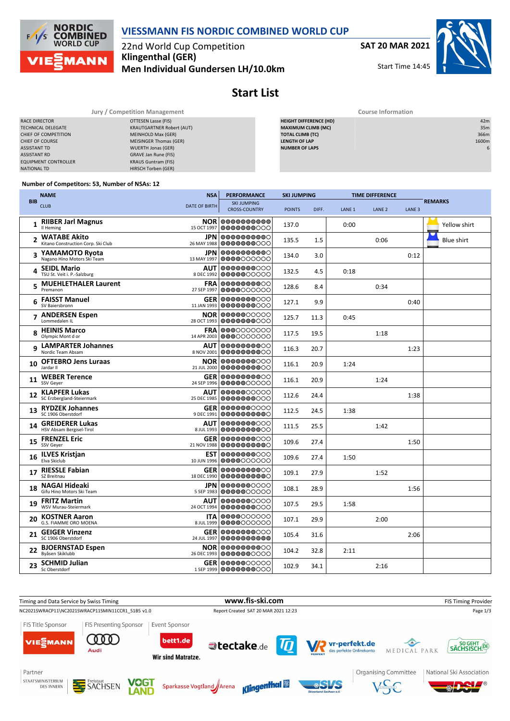

## **VIESSMANN FIS NORDIC COMBINED WORLD CUP**

22nd World Cup Competition **Klingenthal (GER) Men Individual Gundersen LH/10.0km** **SAT 20 MAR 2021**

Start Time 14:45



|                             | Jury / Competition Management    | <b>Course Information</b>     |       |  |  |  |  |
|-----------------------------|----------------------------------|-------------------------------|-------|--|--|--|--|
| RACE DIRECTOR               | OTTESEN Lasse (FIS)              | <b>HEIGHT DIFFERENCE (HD)</b> | 42m   |  |  |  |  |
| <b>TECHNICAL DELEGATE</b>   | <b>KRAUTGARTNER Robert (AUT)</b> | <b>MAXIMUM CLIMB (MC)</b>     | 35m   |  |  |  |  |
| CHIEF OF COMPETITION        | MEINHOLD Max (GER)               | <b>TOTAL CLIMB (TC)</b>       | 366m  |  |  |  |  |
| <b>CHIEF OF COURSE</b>      | MEISINGER Thomas (GER)           | <b>LENGTH OF LAP</b>          | 1600m |  |  |  |  |
| <b>ASSISTANT TD</b>         | WUERTH Jonas (GER)               | <b>NUMBER OF LAPS</b>         |       |  |  |  |  |
| <b>ASSISTANT RD</b>         | GRAVE Jan Rune (FIS)             |                               |       |  |  |  |  |
| <b>EQUIPMENT CONTROLLER</b> | <b>KRAUS Guntram (FIS)</b>       |                               |       |  |  |  |  |
| NATIONAL TD                 | HIRSCH Torben (GER)              |                               |       |  |  |  |  |

#### **Number of Competitors: 53, Number of NSAs: 12**

|            | <b>NAME</b>                                               | <b>NSA</b>                | <b>PERFORMANCE</b>                              |               | <b>SKI JUMPING</b> |                   | <b>TIME DIFFERENCE</b> |                   |                   |
|------------|-----------------------------------------------------------|---------------------------|-------------------------------------------------|---------------|--------------------|-------------------|------------------------|-------------------|-------------------|
| <b>BIB</b> | <b>CLUB</b>                                               | <b>DATE OF BIRTH</b>      | <b>SKI JUMPING</b><br><b>CROSS-COUNTRY</b>      | <b>POINTS</b> | DIFF.              | LANE <sub>1</sub> | LANE <sub>2</sub>      | LANE <sub>3</sub> | <b>REMARKS</b>    |
| 1          | <b>RIIBER Jarl Magnus</b><br>Il Heming                    | 15 OCT 1997               | <b>NOR 0000000000</b><br>0000000000             | 137.0         |                    | 0:00              |                        |                   | Yellow shirt      |
| 2          | <b>WATABE Akito</b><br>Kitano Construction Corp. Ski Club | JPN                       | 0000000000<br>26 MAY 1988 0000000000            | 135.5         | 1.5                |                   | 0:06                   |                   | <b>Blue shirt</b> |
| 3          | YAMAMOTO Ryota<br>Nagano Hino Motors Ski Team             | 13 MAY 1997               | <b>JPN 0000000000</b><br>0000000000             | 134.0         | 3.0                |                   |                        | 0:12              |                   |
| 4          | <b>SEIDL Mario</b><br>TSU St. Veit i. P.-Salzburg         | AUT<br>8 DEC 1992         | 0000000000<br> 0000000000                       | 132.5         | 4.5                | 0:18              |                        |                   |                   |
| 5          | <b>MUEHLETHALER Laurent</b><br>Premanon                   | FRA<br>27 SEP 1997        | 0000000000<br>0000000000                        | 128.6         | 8.4                |                   | 0:34                   |                   |                   |
| 6          | <b>FAISST Manuel</b><br>SV Baiersbronn                    | 11 JAN 1993               | <b>GER 0000000000</b><br>0000000000             | 127.1         | 9.9                |                   |                        | 0:40              |                   |
|            | 7 ANDERSEN Espen<br>Lommedalen IL                         | <b>NOR</b><br>28 OCT 1993 | 0000000000<br>0000000000                        | 125.7         | 11.3               | 0:45              |                        |                   |                   |
| 8          | <b>HEINIS Marco</b><br>Olympic Mont d or                  | FRA                       | 0000000000<br>14 APR 2003 0000000000            | 117.5         | 19.5               |                   | 1:18                   |                   |                   |
| 9          | <b>LAMPARTER Johannes</b><br>Nordic Team Absam            | <b>AUT</b><br>8 NOV 2001  | 0000000000<br>0000000000                        | 116.3         | 20.7               |                   |                        | 1:23              |                   |
| 10         | <b>OFTEBRO Jens Luraas</b><br>Jardar II                   |                           | <b>NOR 0000000000</b><br>21 JUL 2000 0000000000 | 116.1         | 20.9               | 1:24              |                        |                   |                   |
| 11         | <b>WEBER Terence</b><br>SSV Gever                         | <b>GER</b><br>24 SEP 1996 | 0000000000<br>0000000000                        | 116.1         | 20.9               |                   | 1:24                   |                   |                   |
| 12         | <b>KLAPFER Lukas</b><br>SC Erzbergland-Steiermark         | AUT<br>25 DEC 1985        | 0000000000<br>0000000000                        | 112.6         | 24.4               |                   |                        | 1:38              |                   |
| 13         | <b>RYDZEK Johannes</b><br>SC 1906 Oberstdorf              | <b>GER</b><br>9 DEC 1991  | 0000000000<br>0000000000                        | 112.5         | 24.5               | 1:38              |                        |                   |                   |
| 14         | <b>GREIDERER Lukas</b><br>HSV Absam Bergisel-Tirol        | 8 JUL 1993                | AUT 0000000000<br>10000000000                   | 111.5         | 25.5               |                   | 1:42                   |                   |                   |
| 15         | <b>FRENZEL Eric</b><br>SSV Geyer                          | <b>GER</b><br>21 NOV 1988 | 0000000000<br>0000000000                        | 109.6         | 27.4               |                   |                        | 1:50              |                   |
| 16         | <b>ILVES Kristjan</b><br>Elva Skiclub                     | EST<br>10 JUN 1996        | 0000000000<br>0000000000                        | 109.6         | 27.4               | 1:50              |                        |                   |                   |
| 17         | <b>RIESSLE Fabian</b><br>SZ Breitnau                      | 18 DEC 1990               | <b>GER 0000000000</b><br>0000000000             | 109.1         | 27.9               |                   | 1:52                   |                   |                   |
| 18         | NAGAI Hideaki<br>Gifu Hino Motors Ski Team                |                           | <b>JPN 00000000000</b><br>5 SEP 1983 0000000000 | 108.1         | 28.9               |                   |                        | 1:56              |                   |
| 19         | <b>FRITZ Martin</b><br>WSV Murau-Steiermark               | AUT<br>24 OCT 1994        | 0000000000<br>0000000000                        | 107.5         | 29.5               | 1:58              |                        |                   |                   |
| 20         | <b>KOSTNER Aaron</b><br>G.S. FIAMME ORO MOENA             | 8 JUL 1999                | <b>ITA 00000</b> 00000<br>10000000000           | 107.1         | 29.9               |                   | 2:00                   |                   |                   |
| 21         | <b>GEIGER Vinzenz</b><br>SC 1906 Oberstdorf               | 24 JUL 1997               | <b>GER 0000000000</b><br>0000000000             | 105.4         | 31.6               |                   |                        | 2:06              |                   |
| 22         | <b>BJOERNSTAD Espen</b><br>Byåsen Skiklubb                |                           | <b>NOR 0000000000</b><br>26 DEC 1993 0000000000 | 104.2         | 32.8               | 2:11              |                        |                   |                   |
|            | <b>SCHMID Julian</b><br>Sc Oberstdorf                     |                           | <b>GER 0000000000</b><br>1 SEP 1999 0000000000  | 102.9         | 34.1               |                   | 2:16                   |                   |                   |



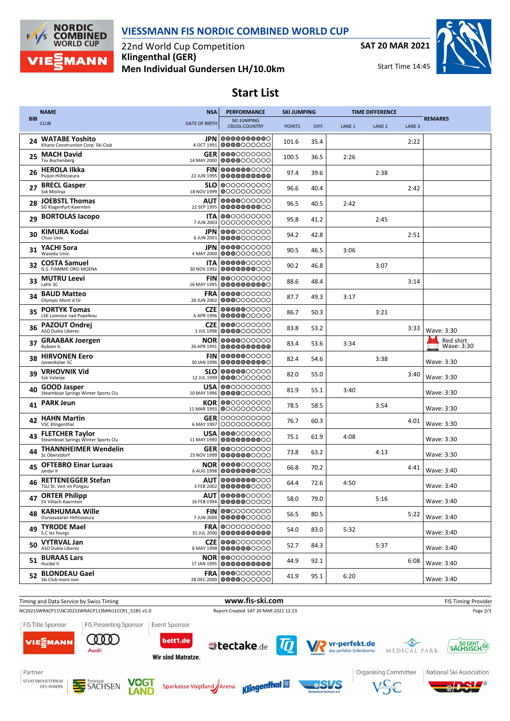

## **VIESSMANN FIS NORDIC COMBINED WORLD CUP**

22nd World Cup Competition **Klingenthal (GER) Men Individual Gundersen LH/10.0km** **SAT 20 MAR 2021**

Start Time 14:45



'®

## **Start List**

|            | <b>NAME</b>                                                   | <b>NSA</b>                | <b>PERFORMANCE</b>                               | <b>SKI JUMPING</b> |       | <b>TIME DIFFERENCE</b> |                   |                   |                         |
|------------|---------------------------------------------------------------|---------------------------|--------------------------------------------------|--------------------|-------|------------------------|-------------------|-------------------|-------------------------|
| <b>BIB</b> | <b>CLUB</b>                                                   | <b>DATE OF BIRTH</b>      | <b>SKI JUMPING</b><br><b>CROSS-COUNTRY</b>       | <b>POINTS</b>      | DIFF. | LANE <sub>1</sub>      | LANE <sub>2</sub> | LANE <sub>3</sub> | <b>REMARKS</b>          |
| 24         | WATABE Yoshito<br>Kitano Construction Corp. Ski Club          | 4 OCT 1991                | <b>JPN 0000000000</b><br>0000000000              | 101.6              | 35.4  |                        |                   | 2:22              |                         |
| 25         | <b>MACH David</b><br><b>Tsv Buchenberg</b>                    | GER<br>14 MAY 2000        | 0000000000<br>0000000000                         | 100.5              | 36.5  | 2:26                   |                   |                   |                         |
| 26         | <b>HEROLA Ilkka</b><br>Puijon Hiihtoseura                     | <b>FIN</b><br>22 JUN 1995 | 0000000000<br>0000000000                         | 97.4               | 39.6  |                        | 2:38              |                   |                         |
| 27         | <b>BRECL Gasper</b><br>Ssk Mislinja                           | <b>SLO</b>                | 0000000000<br>18 NOV 1999 0000000000             | 96.6               | 40.4  |                        |                   | 2:42              |                         |
| 28         | <b>JOEBSTL Thomas</b><br>SG Klagenfurt-Kaernten               | AUT<br>22 SEP 1995        | 0000000000<br>0000000000                         | 96.5               | 40.5  | 2:42                   |                   |                   |                         |
| 29         | <b>BORTOLAS lacopo</b>                                        | ITA<br>7 JUN 2003         | 0000000000<br>0000000000                         | 95.8               | 41.2  |                        | 2:45              |                   |                         |
| 30         | KIMURA Kodai<br>Chuo Univ.                                    | JPN<br>6 JUN 2001         | 0000000000<br>0000000000                         | 94.2               | 42.8  |                        |                   | 2:51              |                         |
| 31         | YACHI Sora<br>Waseda Univ.                                    | JPN<br>4 MAY 2000         | 0000000000<br>0000000000                         | 90.5               | 46.5  | 3:06                   |                   |                   |                         |
| 32         | <b>COSTA Samuel</b><br>G.S. FIAMME ORO MOENA                  | <b>ITA</b><br>30 NOV 1992 | 0000000000<br>0000000000                         | 90.2               | 46.8  |                        | 3:07              |                   |                         |
| 33         | <b>MUTRU Leevi</b><br>Lahti SC                                | <b>FIN</b><br>16 MAY 1995 | 0000000000<br>0000000000                         | 88.6               | 48.4  |                        |                   | 3:14              |                         |
| 34         | <b>BAUD Matteo</b><br>Olympic Mont d Or                       | <b>FRA</b><br>26 JUN 2002 | 0000000000<br>0000000000                         | 87.7               | 49.3  | 3:17                   |                   |                   |                         |
| 35         | <b>PORTYK Tomas</b><br>LSK Lomnice nad Popelkou               | <b>CZE</b><br>6 APR 1996  | 0000000000<br>0000000000                         | 86.7               | 50.3  |                        | 3:21              |                   |                         |
| 36         | <b>PAZOUT Ondrej</b><br>ASO Dukla Liberec                     | <b>CZE</b><br>1 JUL 1998  | 0000000000<br>0000000000                         | 83.8               | 53.2  |                        |                   | 3:33              | Wave: 3:30              |
| 37         | <b>GRAABAK Joergen</b><br>Byåsen IL                           | NOR<br>26 APR 1991        | 0000000000<br>0000000000                         | 83.4               | 53.6  | 3:34                   |                   |                   | Red shirt<br>Wave: 3:30 |
| 38         | <b>HIRVONEN Eero</b><br>Jyvaeskylae SC                        | <b>FIN</b><br>30 JAN 1996 | 0000000000<br>0000000000                         | 82.4               | 54.6  |                        | 3:38              |                   | Wave: 3:30              |
| 39         | <b>VRHOVNIK Vid</b><br>Ssk Velenje                            |                           | <b>SLO 000000</b> 0000<br>12 JUL 1999 0000000000 | 82.0               | 55.0  |                        |                   | 3:40              | Wave: 3:30              |
| 40         | <b>GOOD Jasper</b><br>Steamboat Springs Winter Sports Clu     | USA<br>10 MAY 1996        | 0000000000<br>0000000000                         | 81.9               | 55.1  | 3:40                   |                   |                   | Wave: 3:30              |
| 41         | <b>PARK Jeun</b>                                              | KOR<br>11 MAR 1993        | 0000000000<br>0000000000                         | 78.5               | 58.5  |                        | 3:54              |                   | Wave: 3:30              |
| 42         | <b>HAHN Martin</b><br><b>VSC Klingenthal</b>                  | GER<br>6 MAY 1997         | 0000000000<br>0000000000                         | 76.7               | 60.3  |                        |                   | 4:01              | Wave: 3:30              |
| 43         | <b>FLETCHER Taylor</b><br>Steamboat Springs Winter Sports Clu | USA<br>11 MAY 1990        | 0000000000<br>0000000000                         | 75.1               | 61.9  | 4:08                   |                   |                   | Wave: 3:30              |
|            | <b>THANNHEIMER Wendelin</b><br>Sc Oberstdorf                  | <b>GER</b><br>25 NOV 1999 | 000000000<br>0000000000                          | 73.8               | 63.2  |                        | 4:13              |                   | Wave: 3:30              |
| 45         | <b>OFTEBRO Einar Luraas</b><br>Jardar II                      | 6 AUG 1998                | NOR 0000000000<br>0000000000                     | 66.8               | 70.2  |                        |                   | 4:41              | Wave: 3:40              |
|            | <b>RETTENEGGER Stefan</b><br>TSU St. Veit im Pongau           |                           | <b>AUT 0000000000</b><br>3 FEB 2002 0000000000   | 64.4               | 72.6  | 4:50                   |                   |                   | Wave: 3:40              |
|            | 47 ORTER Philipp<br>SV Villach-Kaernten                       |                           | <b>AUT 0000000000</b><br>16 FEB 1994 0000000000  | 58.0               | 79.0  |                        | 5:16              |                   | Wave: 3:40              |
| 48         | <b>KARHUMAA Wille</b><br>Ounasyaaran Hiihtoseura              |                           | <b>FIN 0000000000</b><br>7 JUN 2000 000000000    | 56.5               | 80.5  |                        |                   | 5:22              | Wave: 3:40              |
|            | 49 TYRODE Mael<br>S.C les fourgs                              |                           | <b>FRA 0000000000</b><br>31 JUL 2000 0000000000  | 54.0               | 83.0  | 5:32                   |                   |                   | Wave: 3:40              |
| 50         | <b>VYTRVAL Jan</b><br>ASO Dukla Liberec                       | 8 MAY 1998                | <b>CZE 0000</b> 000000<br>0000000000             | 52.7               | 84.3  |                        | 5:37              |                   | Wave: 3:40              |
| 51         | <b>BURAAS Lars</b><br>Hurdal II                               |                           | NOR 0000000000<br>17 JAN 1995 000000000          | 44.9               | 92.1  |                        |                   | 6:08              | Wave: 3:40              |
| 52         | <b>BLONDEAU Gael</b><br>Ski Club mont noir                    |                           | <b>FRA 0000000000</b><br>28 DEC 2000 0000000000  | 41.9               | 95.1  | 6:20                   |                   |                   | Wave: 3:40              |



**MSL** 

Freistaat<br>SACHSEN

DES INNERN

VOGT

LAND

Sparkasse Vogtland Arena